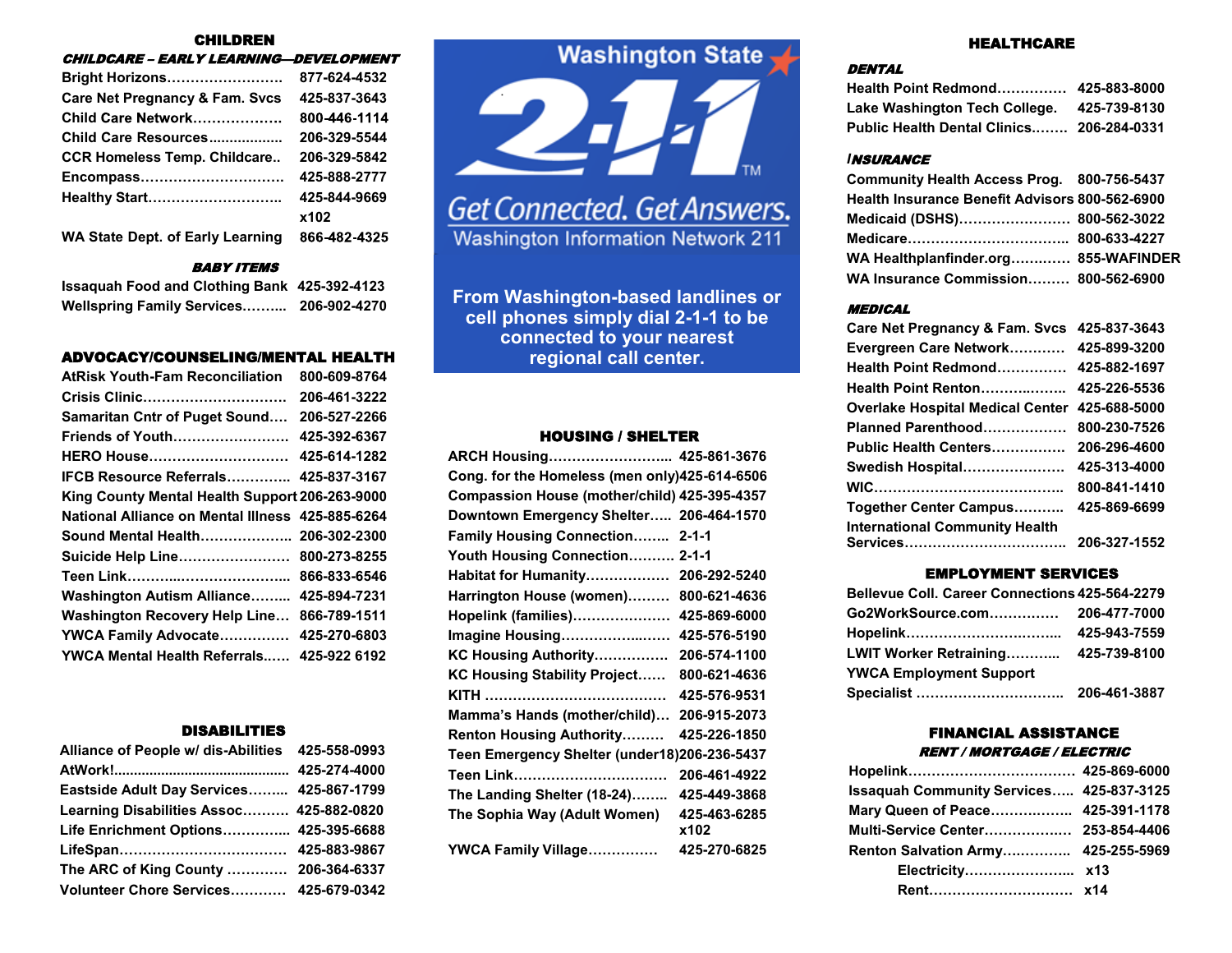## CHILDREN

| <b>CHILDCARE - EARLY LEARNING-DEVELOPMENT</b> |              |
|-----------------------------------------------|--------------|
| Bright Horizons                               | 877-624-4532 |
| <b>Care Net Pregnancy &amp; Fam. Svcs</b>     | 425-837-3643 |
| Child Care Network                            | 800-446-1114 |
| Child Care Resources                          | 206-329-5544 |
| <b>CCR Homeless Temp. Childcare</b>           | 206-329-5842 |
| Encompass                                     | 425-888-2777 |
| Healthy Start                                 | 425-844-9669 |
|                                               | x102         |
| WA State Dept. of Early Learning              | 866-482-4325 |

## BABY ITEMS

| <b>Issaquah Food and Clothing Bank 425-392-4123</b> |              |
|-----------------------------------------------------|--------------|
| <b>Wellspring Family Services</b>                   | 206-902-4270 |

# ADVOCACY/COUNSELING/MENTAL HEALTH **regional call center.**

| <b>AtRisk Youth-Fam Reconciliation</b>           | 800-609-8764 |
|--------------------------------------------------|--------------|
| Crisis Clinic                                    | 206-461-3222 |
| Samaritan Cntr of Puget Sound                    | 206-527-2266 |
| <b>Friends of Youth</b>                          | 425-392-6367 |
| HERO House                                       | 425-614-1282 |
| <b>IFCB Resource Referrals</b>                   | 425-837-3167 |
| King County Mental Health Support 206-263-9000   |              |
| National Alliance on Mental Illness 425-885-6264 |              |
| Sound Mental Health                              | 206-302-2300 |
| Suicide Help Line                                | 800-273-8255 |
|                                                  | 866-833-6546 |
| <b>Washington Autism Alliance</b>                | 425-894-7231 |
| <b>Washington Recovery Help Line</b>             | 866-789-1511 |
| <b>YWCA Family Advocate</b>                      | 425-270-6803 |
| YWCA Mental Health Referrals                     | 425-922 6192 |

#### DISABILITIES

| Alliance of People w/ dis-Abilities 425-558-0993 |  |
|--------------------------------------------------|--|
|                                                  |  |
| Eastside Adult Day Services 425-867-1799         |  |
| Learning Disabilities Assoc 425-882-0820         |  |
| Life Enrichment Options 425-395-6688             |  |
|                                                  |  |
| The ARC of King County  206-364-6337             |  |
| Volunteer Chore Services 425-679-0342            |  |





Get Connected. Get Answers. **Washington Information Network 211** 

**From Washington-based landlines or cell phones simply dial 2-1-1 to be connected to your nearest** 

# HOUSING / SHELTER

| ARCH Housing 425-861-3676                     |                      |
|-----------------------------------------------|----------------------|
| Cong. for the Homeless (men only)425-614-6506 |                      |
| Compassion House (mother/child) 425-395-4357  |                      |
| Downtown Emergency Shelter 206-464-1570       |                      |
| <b>Family Housing Connection</b>              | $2 - 1 - 1$          |
| Youth Housing Connection 2-1-1                |                      |
| Habitat for Humanity                          | 206-292-5240         |
| Harrington House (women)                      | 800-621-4636         |
| Hopelink (families)                           | 425-869-6000         |
| Imagine Housing                               | 425-576-5190         |
| KC Housing Authority                          | 206-574-1100         |
| KC Housing Stability Project                  | 800-621-4636         |
|                                               | 425-576-9531         |
| Mamma's Hands (mother/child)                  | 206-915-2073         |
| <b>Renton Housing Authority</b>               | 425-226-1850         |
| Teen Emergency Shelter (under18)206-236-5437  |                      |
|                                               | 206-461-4922         |
| The Landing Shelter (18-24)                   | 425-449-3868         |
| The Sophia Way (Adult Women)                  | 425-463-6285<br>x102 |
| YWCA Family Village                           | 425-270-6825         |

## HEALTHCARE

## **DENTAL**

| Health Point Redmond 425-883-8000                |              |
|--------------------------------------------------|--------------|
| Lake Washington Tech College.                    | 425-739-8130 |
| <b>Public Health Dental Clinics 206-284-0331</b> |              |

#### *I*NSURANCE

| Community Health Access Prog. 800-756-5437     |  |
|------------------------------------------------|--|
| Health Insurance Benefit Advisors 800-562-6900 |  |
| Medicaid (DSHS) 800-562-3022                   |  |
|                                                |  |
| WA Healthplanfinder.org 855-WAFINDER           |  |
| WA Insurance Commission 800-562-6900           |  |

## MEDICAL

| <b>Care Net Pregnancy &amp; Fam. Svcs</b> | 425-837-3643 |
|-------------------------------------------|--------------|
| Evergreen Care Network                    | 425-899-3200 |
| Health Point Redmond                      | 425-882-1697 |
| Health Point Renton                       | 425-226-5536 |
| <b>Overlake Hospital Medical Center</b>   | 425-688-5000 |
| Planned Parenthood                        | 800-230-7526 |
| <b>Public Health Centers</b>              | 206-296-4600 |
| Swedish Hospital                          | 425-313-4000 |
|                                           | 800-841-1410 |
| Together Center Campus                    | 425-869-6699 |
| <b>International Community Health</b>     |              |
|                                           | 206-327-1552 |

## EMPLOYMENT SERVICES

| Bellevue Coll. Career Connections 425-564-2279 |              |
|------------------------------------------------|--------------|
|                                                |              |
|                                                | 425-943-7559 |
| LWIT Worker Retraining                         | 425-739-8100 |
| <b>YWCA Employment Support</b>                 |              |
|                                                | 206-461-3887 |

## FINANCIAL ASSISTANCE RENT / MORTGAGE / ELECTRIC

| <b>Issaquah Community Services 425-837-3125</b> |  |
|-------------------------------------------------|--|
| Mary Queen of Peace 425-391-1178                |  |
| Multi-Service Center 253-854-4406               |  |
| Renton Salvation Army 425-255-5969              |  |
|                                                 |  |
|                                                 |  |